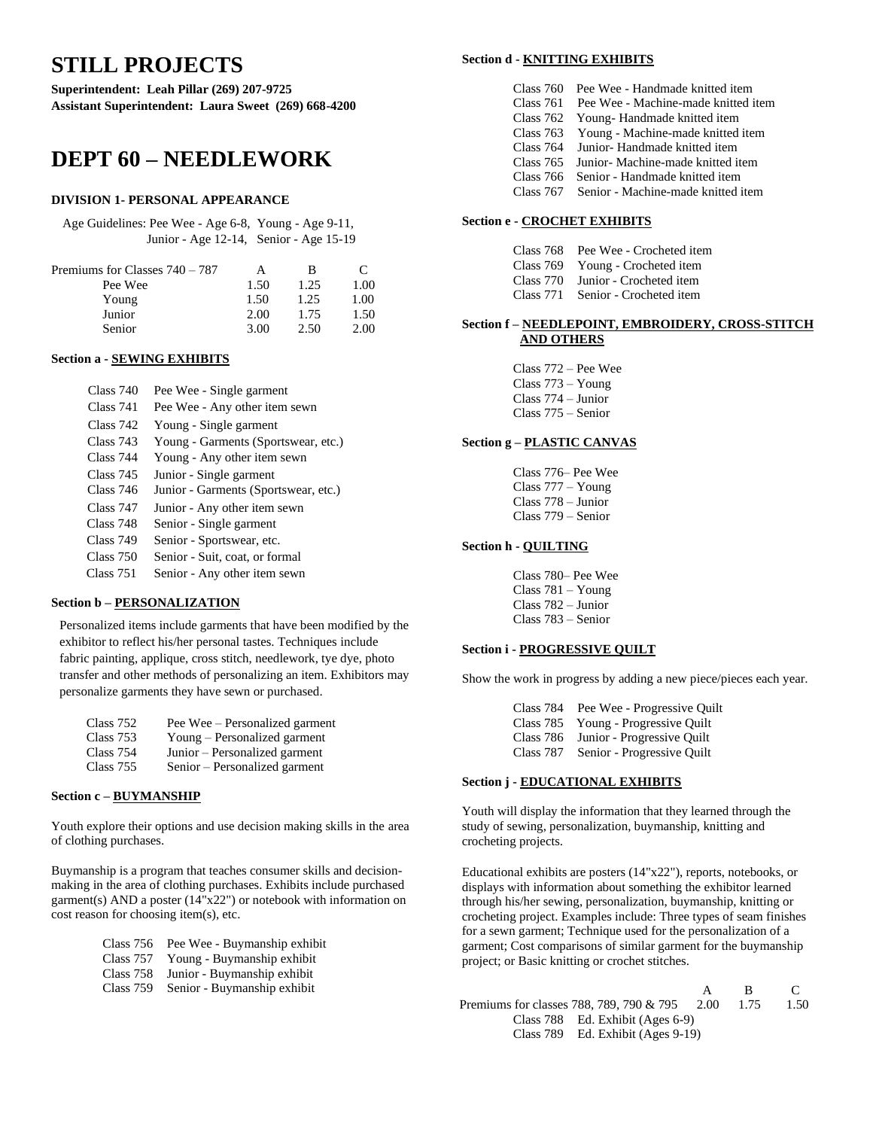# **STILL PROJECTS**

**Superintendent: Leah Pillar (269) 207-9725 Assistant Superintendent: Laura Sweet (269) 668-4200**

# **DEPT 60 – NEEDLEWORK**

### **DIVISION 1- PERSONAL APPEARANCE**

Age Guidelines: Pee Wee - Age 6-8, Young - Age 9-11, Junior - Age 12-14, Senior - Age 15-19

| Premiums for Classes $740 - 787$ | А    | В    | $\mathbf{C}$ |
|----------------------------------|------|------|--------------|
| Pee Wee                          | 1.50 | 1.25 | 1.00         |
| Young                            | 1.50 | 1.25 | 1.00         |
| Junior                           | 2.00 | 1.75 | 1.50         |
| Senior                           | 3.00 | 2.50 | 2.00         |

### **Section a - SEWING EXHIBITS**

| Class 740 | Pee Wee - Single garment             |
|-----------|--------------------------------------|
| Class 741 | Pee Wee - Any other item sewn        |
| Class 742 | Young - Single garment               |
| Class 743 | Young - Garments (Sportswear, etc.)  |
| Class 744 | Young - Any other item sewn          |
| Class 745 | Junior - Single garment              |
| Class 746 | Junior - Garments (Sportswear, etc.) |
| Class 747 | Junior - Any other item sewn         |
| Class 748 | Senior - Single garment              |
| Class 749 | Senior - Sportswear, etc.            |
| Class 750 | Senior - Suit, coat, or formal       |
| Class 751 | Senior - Any other item sewn         |

### **Section b – PERSONALIZATION**

Personalized items include garments that have been modified by the exhibitor to reflect his/her personal tastes. Techniques include fabric painting, applique, cross stitch, needlework, tye dye, photo transfer and other methods of personalizing an item. Exhibitors may personalize garments they have sewn or purchased.

| Class 752 | Pee Wee – Personalized garment |
|-----------|--------------------------------|
| Class 753 | Young – Personalized garment   |
| Class 754 | Junior – Personalized garment  |
| Class 755 | Senior – Personalized garment  |

### **Section c – BUYMANSHIP**

Youth explore their options and use decision making skills in the area of clothing purchases.

Buymanship is a program that teaches consumer skills and decisionmaking in the area of clothing purchases. Exhibits include purchased garment(s) AND a poster (14"x22") or notebook with information on cost reason for choosing item(s), etc.

|  | Class 756 Pee Wee - Buymanship exhibit |  |
|--|----------------------------------------|--|
|  |                                        |  |

- Class 757 Young Buymanship exhibit
- Class 758 Junior Buymanship exhibit
- Class 759 Senior Buymanship exhibit

### **Section d - KNITTING EXHIBITS**

| Class 760 Pee Wee - Handmade knitted item     |
|-----------------------------------------------|
| Class 761 Pee Wee - Machine-made knitted item |
| Class 762 Young-Handmade knitted item         |
| Class 763 Young - Machine-made knitted item   |
| Class 764 Junior-Handmade knitted item        |
| Class 765 Junior - Machine-made knitted item  |
| Class 766 Senior - Handmade knitted item      |
| Class 767 Senior - Machine-made knitted item  |

### **Section e - CROCHET EXHIBITS**

| Class 768 Pee Wee - Crocheted item |
|------------------------------------|
| Class 769 Young - Crocheted item   |
| Class 770 Junior - Crocheted item  |
| Class 771 Senior - Crocheted item  |

### **Section f – NEEDLEPOINT, EMBROIDERY, CROSS-STITCH AND OTHERS**

Class 772 – Pee Wee Class 773 – Young Class 774 – Junior Class 775 – Senior

### **Section g – PLASTIC CANVAS**

| Class 776– Pee Wee   |
|----------------------|
| Class $777 - Young$  |
| $Class 778 - Junior$ |
| $Class 779 - Senior$ |

### **Section h - QUILTING**

Class 780– Pee Wee Class 781 – Young Class 782 – Junior Class 783 – Senior

### **Section i - PROGRESSIVE QUILT**

Show the work in progress by adding a new piece/pieces each year.

Class 784 Pee Wee - Progressive Quilt Class 785 Young - Progressive Quilt Class 786 Junior - Progressive Quilt Class 787 Senior - Progressive Quilt

### **Section j - EDUCATIONAL EXHIBITS**

Youth will display the information that they learned through the study of sewing, personalization, buymanship, knitting and crocheting projects.

Educational exhibits are posters (14"x22"), reports, notebooks, or displays with information about something the exhibitor learned through his/her sewing, personalization, buymanship, knitting or crocheting project. Examples include: Three types of seam finishes for a sewn garment; Technique used for the personalization of a garment; Cost comparisons of similar garment for the buymanship project; or Basic knitting or crochet stitches.

|                                                    | - R | $\mathcal{C}$ |
|----------------------------------------------------|-----|---------------|
| Premiums for classes 788, 789, 790 & 795 2.00 1.75 |     | 1.50          |
| Class 788 Ed. Exhibit (Ages 6-9)                   |     |               |
| Class 789 Ed. Exhibit (Ages 9-19)                  |     |               |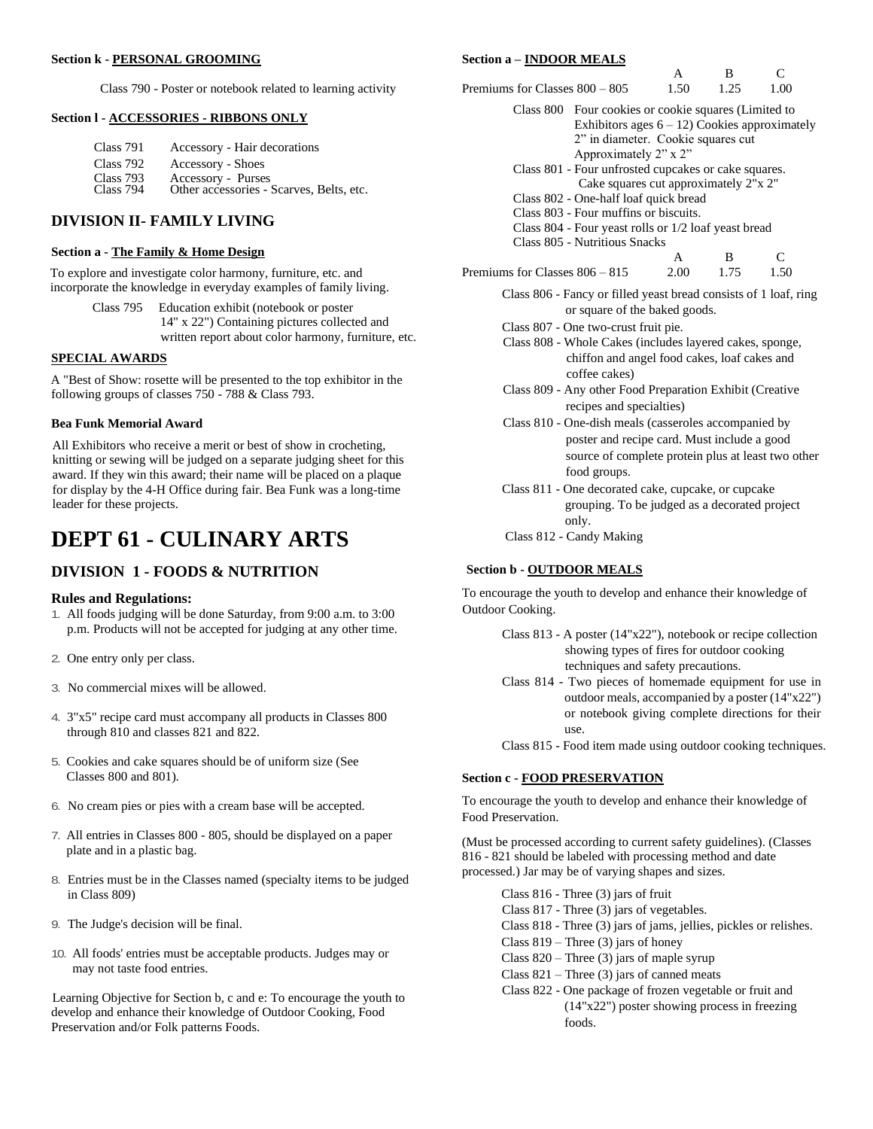Class 790 - Poster or notebook related to learning activity

### **Section l - ACCESSORIES - RIBBONS ONLY**

| Class 791 | Accessory - Hair decorations             |
|-----------|------------------------------------------|
| Class 792 | Accessory - Shoes                        |
| Class 793 | Accessory - Purses                       |
| Class 794 | Other accessories - Scarves, Belts, etc. |

# **DIVISION II- FAMILY LIVING**

### **Section a - The Family & Home Design**

To explore and investigate color harmony, furniture, etc. and incorporate the knowledge in everyday examples of family living.

| Class 795 | Education exhibit (notebook or poster               |
|-----------|-----------------------------------------------------|
|           | 14" x 22") Containing pictures collected and        |
|           | written report about color harmony, furniture, etc. |

# **SPECIAL AWARDS**

A "Best of Show: rosette will be presented to the top exhibitor in the following groups of classes 750 - 788 & Class 793.

### **Bea Funk Memorial Award**

All Exhibitors who receive a merit or best of show in crocheting, knitting or sewing will be judged on a separate judging sheet for this award. If they win this award; their name will be placed on a plaque for display by the 4-H Office during fair. Bea Funk was a long-time leader for these projects.

# **DEPT 61 - CULINARY ARTS**

# **DIVISION 1 - FOODS & NUTRITION**

### **Rules and Regulations:**

- 1. All foods judging will be done Saturday, from 9:00 a.m. to 3:00 p.m. Products will not be accepted for judging at any other time.
- 2. One entry only per class.
- 3. No commercial mixes will be allowed.
- 4. 3"x5" recipe card must accompany all products in Classes 800 through 810 and classes 821 and 822.
- 5. Cookies and cake squares should be of uniform size (See Classes 800 and 801).
- 6. No cream pies or pies with a cream base will be accepted.
- 7. All entries in Classes 800 805, should be displayed on a paper plate and in a plastic bag.
- 8. Entries must be in the Classes named (specialty items to be judged in Class 809)
- 9. The Judge's decision will be final.
- 10. All foods' entries must be acceptable products. Judges may or may not taste food entries.

Learning Objective for Section b, c and e: To encourage the youth to develop and enhance their knowledge of Outdoor Cooking, Food Preservation and/or Folk patterns Foods.

### **Section a – INDOOR MEALS**

|                                                                  | A                                                | B    | $\subset$ |  |
|------------------------------------------------------------------|--------------------------------------------------|------|-----------|--|
| Premiums for Classes 800 - 805                                   | 1.50                                             | 1.25 | 1.00      |  |
| Class 800 Four cookies or cookie squares (Limited to             |                                                  |      |           |  |
|                                                                  | Exhibitors ages $6 - 12$ ) Cookies approximately |      |           |  |
|                                                                  | 2" in diameter. Cookie squares cut               |      |           |  |
|                                                                  | Approximately 2" x 2"                            |      |           |  |
| Class 801 - Four unfrosted cupcakes or cake squares.             |                                                  |      |           |  |
|                                                                  | Cake squares cut approximately 2"x 2"            |      |           |  |
| Class 802 - One-half loaf quick bread                            |                                                  |      |           |  |
| Class 803 - Four muffins or biscuits.                            |                                                  |      |           |  |
| Class 804 - Four yeast rolls or 1/2 loaf yeast bread             |                                                  |      |           |  |
| Class 805 - Nutritious Snacks                                    |                                                  |      |           |  |
|                                                                  | A                                                | B    | C         |  |
| Premiums for Classes 806 – 815                                   | 2.00                                             | 1.75 | 1.50      |  |
| Class 806 - Fancy or filled yeast bread consists of 1 loaf, ring |                                                  |      |           |  |
|                                                                  | or square of the baked goods.                    |      |           |  |
| Class 807 - One two-crust fruit pie.                             |                                                  |      |           |  |
| Class 808 - Whole Cakes (includes layered cakes, sponge,         |                                                  |      |           |  |
|                                                                  | shiffen and snool food solton loof solton and    |      |           |  |

- chiffon and angel food cakes, loaf cakes and coffee cakes)
- Class 809 Any other Food Preparation Exhibit (Creative recipes and specialties)
- Class 810 One-dish meals (casseroles accompanied by poster and recipe card. Must include a good source of complete protein plus at least two other food groups.
- Class 811 One decorated cake, cupcake, or cupcake grouping. To be judged as a decorated project only.
- Class 812 Candy Making

### **Section b - OUTDOOR MEALS**

To encourage the youth to develop and enhance their knowledge of Outdoor Cooking.

- Class 813 A poster (14"x22"), notebook or recipe collection showing types of fires for outdoor cooking techniques and safety precautions.
- Class 814 Two pieces of homemade equipment for use in outdoor meals, accompanied by a poster (14"x22") or notebook giving complete directions for their use.
- Class 815 Food item made using outdoor cooking techniques.

### **Section c - FOOD PRESERVATION**

To encourage the youth to develop and enhance their knowledge of Food Preservation.

(Must be processed according to current safety guidelines). (Classes 816 - 821 should be labeled with processing method and date processed.) Jar may be of varying shapes and sizes.

- Class 816 Three (3) jars of fruit
- Class 817 Three (3) jars of vegetables.
- Class 818 Three (3) jars of jams, jellies, pickles or relishes.
- Class  $819$  Three (3) jars of honey
- Class  $820$  Three (3) jars of maple syrup
- Class  $821$  Three (3) jars of canned meats
- Class 822 One package of frozen vegetable or fruit and (14"x22") poster showing process in freezing foods.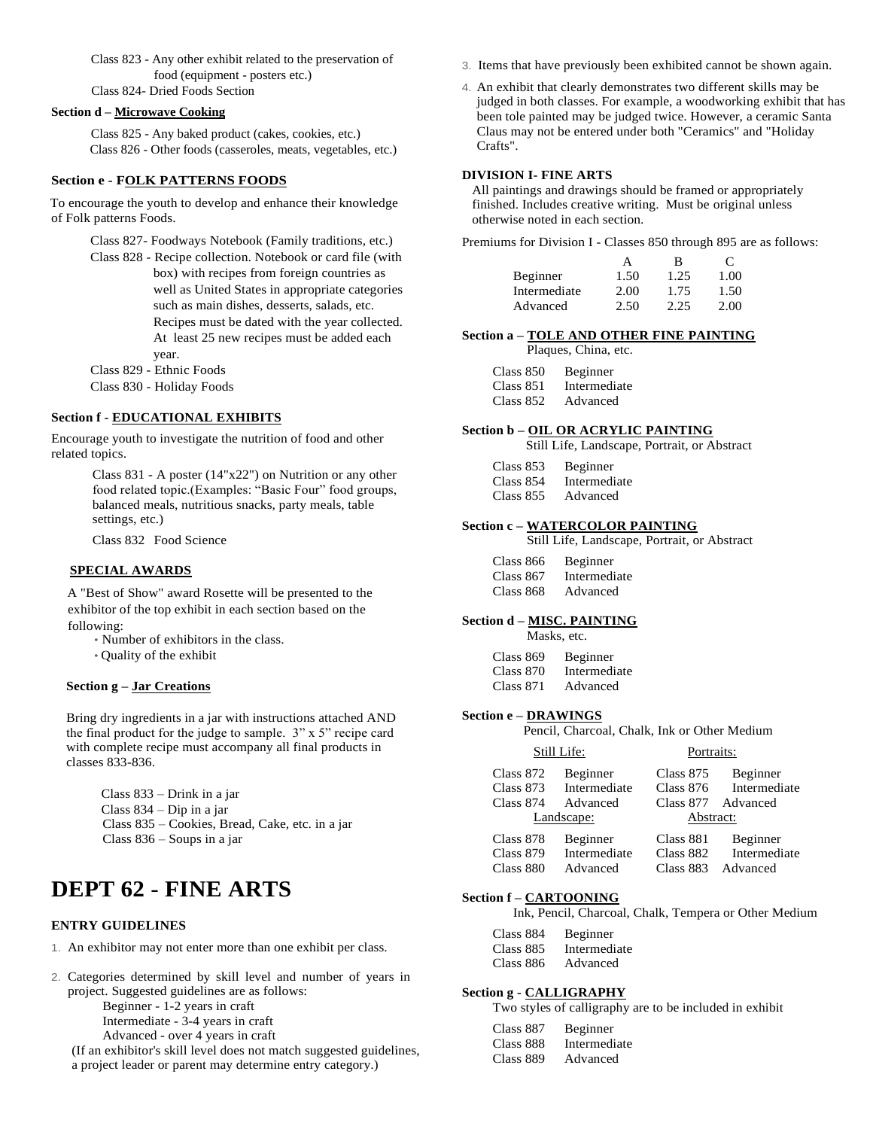Class 823 - Any other exhibit related to the preservation of food (equipment - posters etc.) Class 824- Dried Foods Section

### **Section d – Microwave Cooking**

Class 825 - Any baked product (cakes, cookies, etc.) Class 826 - Other foods (casseroles, meats, vegetables, etc.)

### **Section e - FOLK PATTERNS FOODS**

To encourage the youth to develop and enhance their knowledge of Folk patterns Foods.

> Class 827- Foodways Notebook (Family traditions, etc.) Class 828 - Recipe collection. Notebook or card file (with box) with recipes from foreign countries as well as United States in appropriate categories such as main dishes, desserts, salads, etc. Recipes must be dated with the year collected. At least 25 new recipes must be added each year. Class 829 - Ethnic Foods

Class 830 - Holiday Foods

### **Section f - EDUCATIONAL EXHIBITS**

Encourage youth to investigate the nutrition of food and other related topics.

> Class 831 - A poster (14"x22") on Nutrition or any other food related topic.(Examples: "Basic Four" food groups, balanced meals, nutritious snacks, party meals, table settings, etc.)

Class 832 Food Science

### **SPECIAL AWARDS**

A "Best of Show" award Rosette will be presented to the exhibitor of the top exhibit in each section based on the following:

- Number of exhibitors in the class.
- Quality of the exhibit

### **Section g – Jar Creations**

Bring dry ingredients in a jar with instructions attached AND the final product for the judge to sample.  $3" \times 5"$  recipe card with complete recipe must accompany all final products in classes 833-836.

| Class $833 - Drink$ in a jar                    |  |
|-------------------------------------------------|--|
| Class $834 - Dip$ in a jar                      |  |
| Class 835 – Cookies, Bread, Cake, etc. in a jar |  |
| Class $836 -$ Soups in a jar                    |  |

# **DEPT 62** - **FINE ARTS**

### **ENTRY GUIDELINES**

- 1. An exhibitor may not enter more than one exhibit per class.
- 2. Categories determined by skill level and number of years in project. Suggested guidelines are as follows: Beginner - 1-2 years in craft Intermediate - 3-4 years in craft

Advanced - over 4 years in craft

(If an exhibitor's skill level does not match suggested guidelines, a project leader or parent may determine entry category.)

- 3. Items that have previously been exhibited cannot be shown again.
- 4. An exhibit that clearly demonstrates two different skills may be judged in both classes. For example, a woodworking exhibit that has been tole painted may be judged twice. However, a ceramic Santa Claus may not be entered under both "Ceramics" and "Holiday Crafts".

#### **DIVISION I- FINE ARTS**

All paintings and drawings should be framed or appropriately finished. Includes creative writing. Must be original unless otherwise noted in each section.

Premiums for Division I - Classes 850 through 895 are as follows:

|              |      | В    | $\mathfrak{c}$ |
|--------------|------|------|----------------|
| Beginner     | 1.50 | 1.25 | 1.00           |
| Intermediate | 2.00 | 1.75 | 1.50           |
| Advanced     | 2.50 | 2.25 | 2.00           |

### **Section a – TOLE AND OTHER FINE PAINTING**

Plaques, China, etc.

| Class 850 | Beginner     |
|-----------|--------------|
| Class 851 | Intermediate |
| Class 852 | Advanced     |

### **Section b – OIL OR ACRYLIC PAINTING**

Still Life, Landscape, Portrait, or Abstract

| Class 853 | Beginner     |
|-----------|--------------|
| Class 854 | Intermediate |
| Class 855 | Advanced     |

### **Section c – WATERCOLOR PAINTING**

Still Life, Landscape, Portrait, or Abstract

| Class 866 | Beginner     |
|-----------|--------------|
| Class 867 | Intermediate |
| Class 868 | Advanced     |

### **Section d – MISC. PAINTING**

| Masks, etc.  |  |                                      |
|--------------|--|--------------------------------------|
| $C1 = -0.00$ |  | $\mathbf{D}$ - $\mathbf{L}$ is a set |

| Class 869 | Beginner     |
|-----------|--------------|
| Class 870 | Intermediate |
| Class 871 | Advanced     |

### **Section e – DRAWINGS**

Pencil, Charcoal, Chalk, Ink or Other Medium

|                          | Still Life:              | Portraits:             |                          |
|--------------------------|--------------------------|------------------------|--------------------------|
| Class 872<br>Class $873$ | Beginner<br>Intermediate | Class 875<br>Class 876 | Beginner<br>Intermediate |
| Class 874                | Advanced<br>Landscape:   | Abstract:              | Class 877 Advanced       |
| Class 878<br>Class 879   | Beginner<br>Intermediate | Class 881<br>Class 882 | Beginner<br>Intermediate |
| Class 880                | Advanced                 | Class 883              | Advanced                 |

#### **Section f – CARTOONING**

Ink, Pencil, Charcoal, Chalk, Tempera or Other Medium

| Class 884 | Beginner     |
|-----------|--------------|
| Class 885 | Intermediate |
| Class 886 | Advanced     |

#### **Section g - CALLIGRAPHY**

Two styles of calligraphy are to be included in exhibit

| Class 887 | Beginner     |
|-----------|--------------|
| Class 888 | Intermediate |
| Class 889 | Advanced     |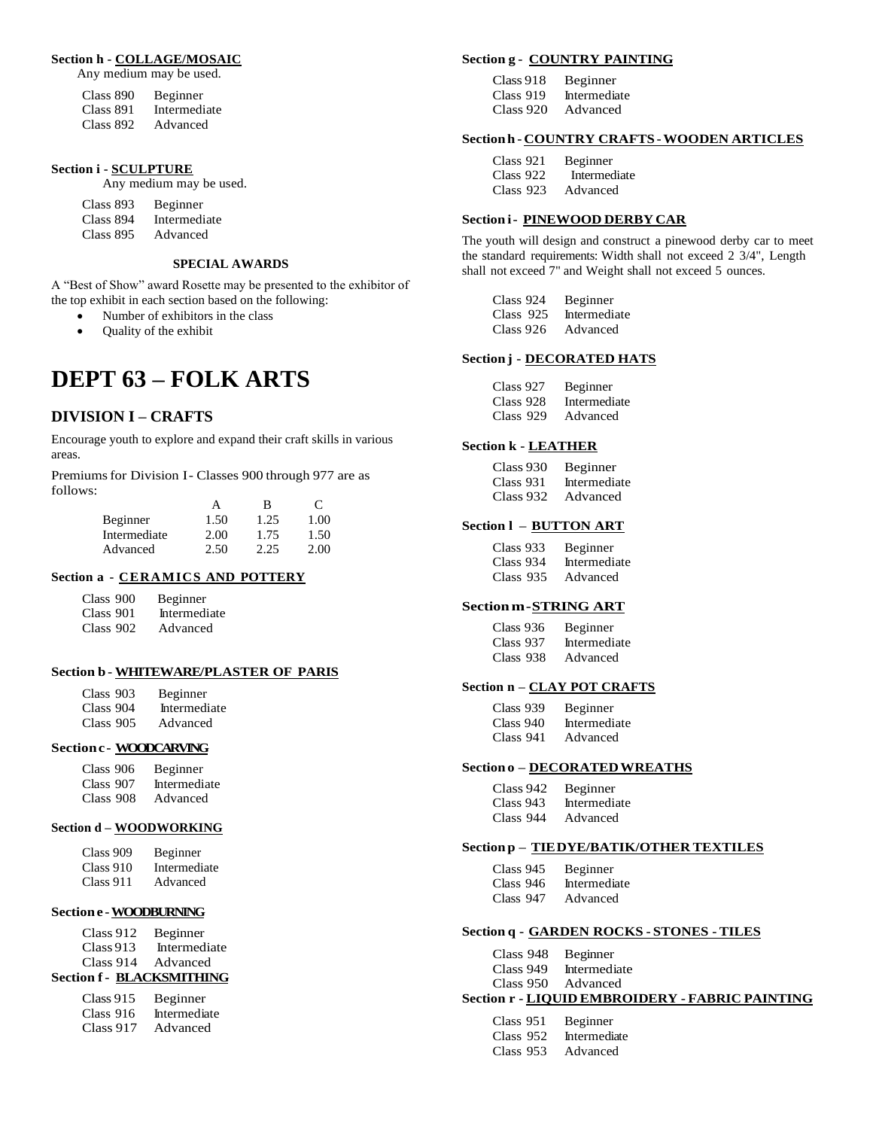### **Section h - COLLAGE/MOSAIC**

Any medium may be used.

| Class 890 | Beginner     |
|-----------|--------------|
| Class 891 | Intermediate |
| Class 892 | Advanced     |

### **Section i - SCULPTURE**

Any medium may be used.

| Class 893 | Beginner     |
|-----------|--------------|
| Class 894 | Intermediate |
| Class 895 | Advanced     |

### **SPECIAL AWARDS**

A "Best of Show" award Rosette may be presented to the exhibitor of the top exhibit in each section based on the following:

- Number of exhibitors in the class
- Quality of the exhibit

# **DEPT 63 – FOLK ARTS**

### **DIVISION I – CRAFTS**

Encourage youth to explore and expand their craft skills in various areas.

Premiums for Division I- Classes 900 through 977 are as follows:

|              | А    | в    | $\mathbf{C}$ |
|--------------|------|------|--------------|
| Beginner     | 1.50 | 1.25 | 1.00         |
| Intermediate | 2.00 | 1.75 | 1.50         |
| Advanced     | 2.50 | 2.25 | 2.00         |

### **Section a - CERAMICS AND POTTERY**

| Class 900 | Beginner     |
|-----------|--------------|
| Class 901 | Intermediate |
| Class 902 | Advanced     |

### **Section b- WHITEWARE/PLASTER OF PARIS**

| Class 903 | Beginner     |
|-----------|--------------|
| Class 904 | Intermediate |
| Class 905 | Advanced     |

### **Sectionc- WOODCARVING**

| Class 906 | Beginner     |
|-----------|--------------|
| Class 907 | Intermediate |
| Class 908 | Advanced     |

### **Section d – WOODWORKING**

| Class 909 | Beginner     |
|-----------|--------------|
| Class 910 | Intermediate |
| Class 911 | Advanced     |

### **Sectione -WOODBURNING**

| Class 912 | Beginner     |
|-----------|--------------|
| Class 913 | Intermediate |
| Class 914 | Advanced     |

### **Section f - BLACKSMITHING**

| Class 915 | Beginner     |
|-----------|--------------|
| Class 916 | Intermediate |
| Class 917 | Advanced     |

### **Section g - COUNTRY PAINTING**

| Class 918 | Beginner     |
|-----------|--------------|
| Class 919 | Intermediate |
| Class 920 | Advanced     |

### **Sectionh -COUNTRY CRAFTS -WOODEN ARTICLES**

| Class 921 | Beginner     |
|-----------|--------------|
| Class 922 | Intermediate |
| Class 923 | Advanced     |

### **Section i- PINEWOOD DERBY CAR**

The youth will design and construct a pinewood derby car to meet the standard requirements: Width shall not exceed 2 3/4", Length shall not exceed 7" and Weight shall not exceed 5 ounces.

| Class 924 | Beginner     |
|-----------|--------------|
| Class 925 | Intermediate |
| Class 926 | Advanced     |

### **Section j - DECORATED HATS**

| Class 927 | Beginner     |
|-----------|--------------|
| Class 928 | Intermediate |
| Class 929 | Advanced     |

### **Section k - LEATHER**

| Class 930 | Beginner     |
|-----------|--------------|
| Class 931 | Intermediate |
| Class 932 | Advanced     |

### **Section l – BUTTON ART**

| Class 933 | Beginner     |
|-----------|--------------|
| Class 934 | Intermediate |

### **Sectionm- STRING ART**

| Class 936 | Beginner     |
|-----------|--------------|
| Class 937 | Intermediate |
| Class 938 | Advanced     |

### **Section n – CLAY POT CRAFTS**

| Class 939 | Beginner     |
|-----------|--------------|
| Class 940 | Intermediate |
| Class 941 | Advanced     |

### **Section o – DECORATEDWREATHS**

| Class 942 | Beginner     |
|-----------|--------------|
| Class 943 | Intermediate |
| Class 944 | Advanced     |

### **Section p – TIEDYE/BATIK/OTHER TEXTILES**

| Class 945 | Beginner     |
|-----------|--------------|
| Class 946 | Intermediate |
| Class 947 | Advanced     |

### **Section q - GARDEN ROCKS - STONES - TILES**

| ----------------------- |  |
|-------------------------|--|
| Class 950 Advanced      |  |
| Class 949 Intermediate  |  |
| Class 948 Beginner      |  |

### **Section r - LIQUID EMBROIDERY - FABRIC PAINTING**

| Class 951   | Beginner     |
|-------------|--------------|
| Class $952$ | Intermediate |
| Class $953$ | Advanced     |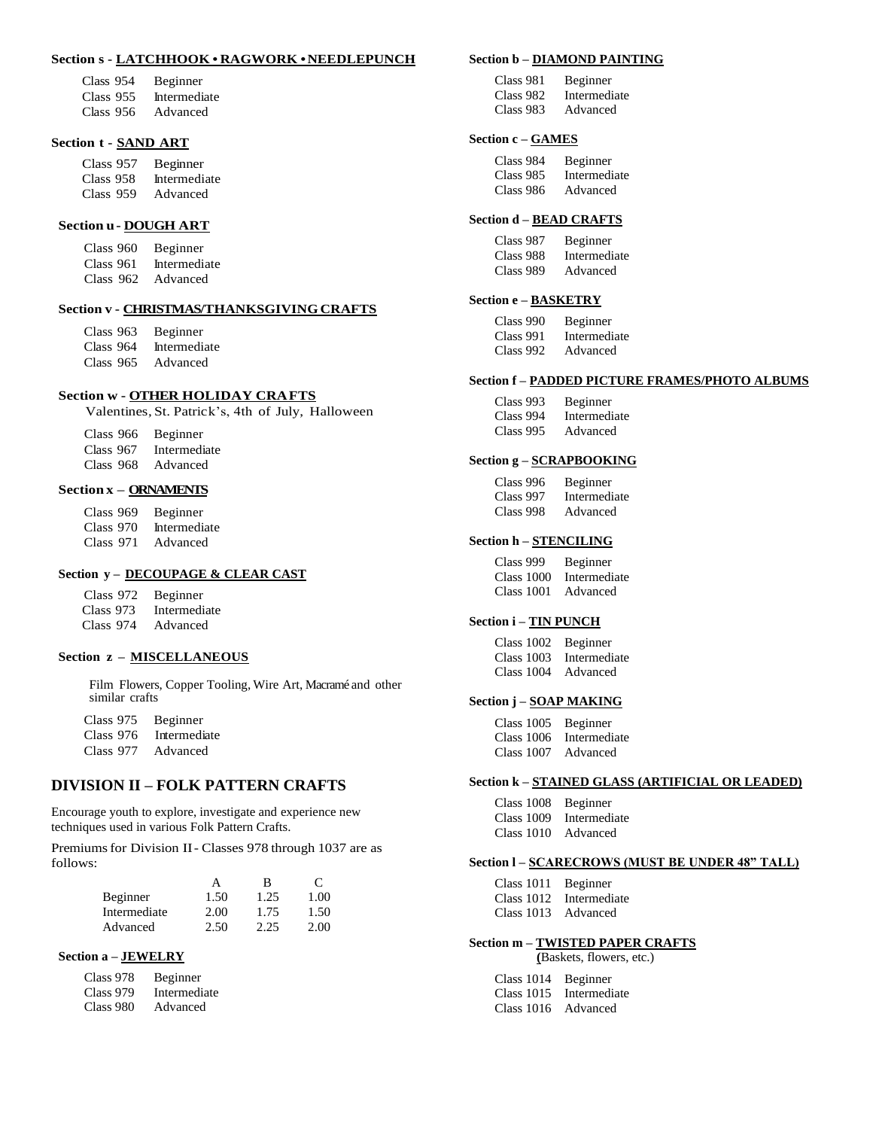### **Section s - LATCHHOOK • RAGWORK •NEEDLEPUNCH**

| Class 954 | Beginner     |
|-----------|--------------|
| Class 955 | Intermediate |
| Class 956 | Advanced     |

### **Section t - SAND ART**

| Class 957 | Beginner     |
|-----------|--------------|
| Class 958 | Intermediate |
| Class 959 | Advanced     |

### **Section u- DOUGH ART**

| Class 960   | Beginner     |
|-------------|--------------|
| Class 961   | Intermediate |
| Class $962$ | Advanced     |

### **Section v - CHRISTMAS/THANKSGIVINGCRAFTS**

| Class 963   | Beginner     |
|-------------|--------------|
| Class 964   | Intermediate |
| Class $965$ | Advanced     |

### **Section w - OTHER HOLIDAY CRAFTS**

Valentines, St. Patrick's, 4th of July, Halloween

Class 966 Beginner Class 967 Intermediate Class 968 Advanced

### **Section x – ORNAMENTS**

Class 969 Beginner Class 970 Intermediate Class 971 Advanced

### **Section y – DECOUPAGE & CLEAR CAST**

| Class 972 | Beginner     |
|-----------|--------------|
| Class 973 | Intermediate |

Class 974 Advanced

### **Section z – MISCELLANEOUS**

Film Flowers, Copper Tooling, Wire Art, Macramé and other similar crafts

Class 975 Beginner Class 976 Intermediate Class 977 Advanced

### **DIVISION II – FOLK PATTERN CRAFTS**

Encourage youth to explore, investigate and experience new techniques used in various Folk Pattern Crafts.

Premiums for Division II- Classes 978 through 1037 are as follows:

|              | А    | в    | $\mathbf{C}$ |
|--------------|------|------|--------------|
| Beginner     | 1.50 | 1.25 | 1.00         |
| Intermediate | 2.00 | 1.75 | 1.50         |
| Advanced     | 2.50 | 2.25 | 2.00         |

### **Section a – JEWELRY**

| Class 978 | Beginner     |
|-----------|--------------|
| Class 979 | Intermediate |
| Class 980 | Advanced     |

#### **Section b – DIAMOND PAINTING**

| Class 981 | Beginner     |
|-----------|--------------|
| Class 982 | Intermediate |
| Class 983 | Advanced     |

### **Section c – GAMES**

| Class 984 | Beginner     |
|-----------|--------------|
| Class 985 | Intermediate |
| Class 986 | Advanced     |

### **Section d – BEAD CRAFTS**

| Class 987 | Beginner     |
|-----------|--------------|
| Class 988 | Intermediate |
| Class 989 | Advanced     |

### **Section e – BASKETRY**

| Class 990 | Beginner     |
|-----------|--------------|
| Class 991 | Intermediate |
| Class 992 | Advanced     |

#### **Section f – PADDED PICTURE FRAMES/PHOTO ALBUMS**

| Class 993 | Beginner     |
|-----------|--------------|
| Class 994 | Intermediate |
| Class 995 | Advanced     |

### **Section g – SCRAPBOOKING**

| Class 996 | Beginner     |
|-----------|--------------|
| Class 997 | Intermediate |
| Class 998 | Advanced     |

### **Section h – STENCILING**

| Class 999  | Beginner     |
|------------|--------------|
| Class 1000 | Intermediate |
| Class 1001 | Advanced     |

### **Section i – TIN PUNCH**

| Class 1002 Beginner |                         |
|---------------------|-------------------------|
|                     | Class 1003 Intermediate |
| Class 1004 Advanced |                         |

### **Section j – SOAP MAKING**

| Class 1005 Beginner |                         |
|---------------------|-------------------------|
|                     | Class 1006 Intermediate |
| Class 1007          | Advanced                |

#### **Section k – STAINED GLASS (ARTIFICIAL OR LEADED)**

| Class 1008 Beginner |                         |
|---------------------|-------------------------|
|                     | Class 1009 Intermediate |
| Class 1010 Advanced |                         |

### **Section l – SCARECROWS (MUST BE UNDER 48" TALL)**

| Class 1011 Beginner |                         |
|---------------------|-------------------------|
|                     | Class 1012 Intermediate |
| Class 1013 Advanced |                         |

### **Section m – TWISTED PAPER CRAFTS (**Baskets, flowers, etc.)

| Class 1014 Beginner |                         |
|---------------------|-------------------------|
|                     | Class 1015 Intermediate |
| Class 1016 Advanced |                         |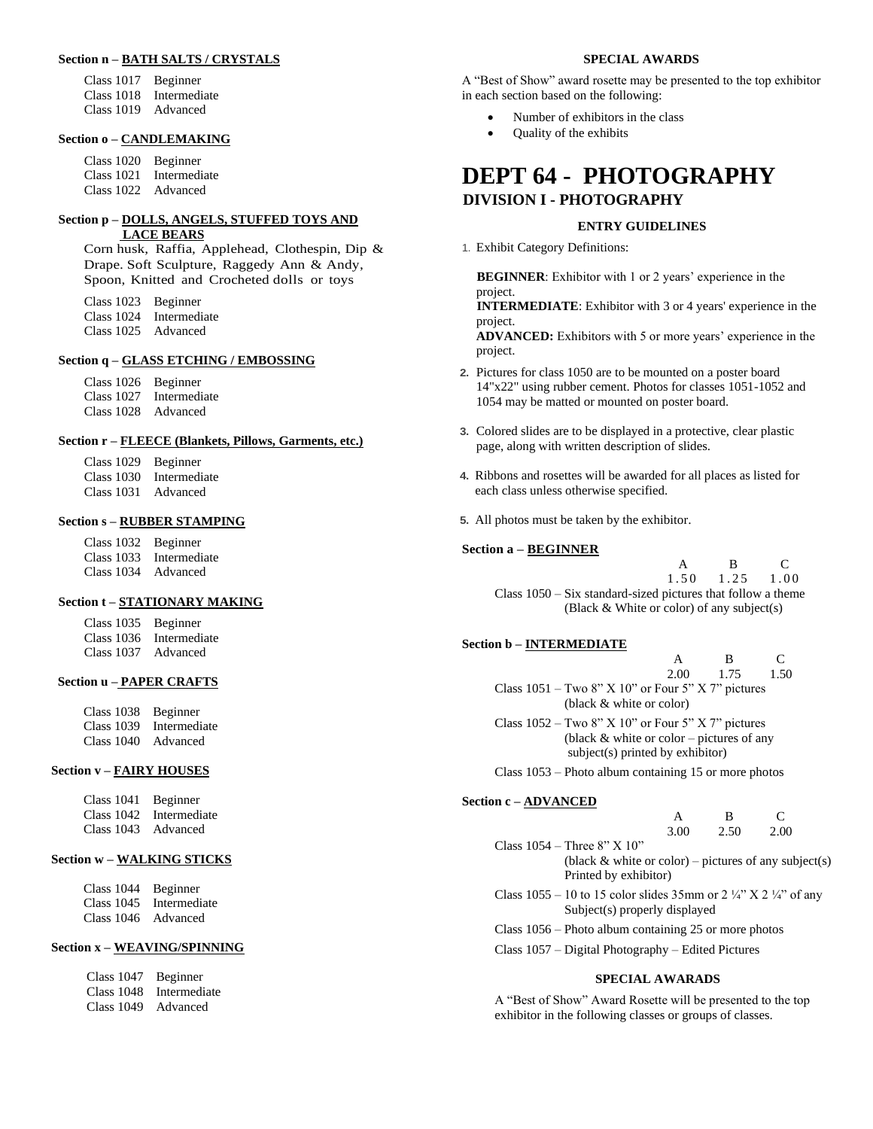# **Section n – BATH SALTS / CRYSTALS**

Class 1017 Beginner Class 1018 Intermediate Class 1019 Advanced

### **Section o – CANDLEMAKING**

Class 1020 Beginner Class 1021 Intermediate Class 1022 Advanced

### **Section p – DOLLS, ANGELS, STUFFED TOYS AND LACE BEARS**

Corn husk, Raffia, Applehead, Clothespin, Dip & Drape. Soft Sculpture, Raggedy Ann & Andy, Spoon, Knitted and Crocheted dolls or toys

Class 1023 Beginner

- Class 1024 Intermediate
- Class 1025 Advanced

# **Section q – GLASS ETCHING / EMBOSSING**

Class 1026 Beginner

- Class 1027 Intermediate
- Class 1028 Advanced

### **Section r – FLEECE (Blankets, Pillows, Garments, etc.)**

Class 1029 Beginner

Class 1030 Intermediate

Class 1031 Advanced

### **Section s – RUBBER STAMPING**

Class 1032 Beginner Class 1033 Intermediate Class 1034 Advanced

### **Section t – STATIONARY MAKING**

| Class 1035 Beginner |                         |
|---------------------|-------------------------|
|                     | Class 1036 Intermediate |
| Class 1037 Advanced |                         |

### **Section u – PAPER CRAFTS**

| Class 1038 Beginner |                         |
|---------------------|-------------------------|
|                     | Class 1039 Intermediate |
| Class 1040 Advanced |                         |

### **Section v – FAIRY HOUSES**

| Class 1041 Beginner |                         |
|---------------------|-------------------------|
|                     | Class 1042 Intermediate |
| Class 1043 Advanced |                         |

### **Section w – WALKING STICKS**

| Class 1044 Beginner |                         |
|---------------------|-------------------------|
|                     | Class 1045 Intermediate |
| Class 1046 Advanced |                         |

### **Section x – WEAVING/SPINNING**

| Class 1047 Beginner |                         |
|---------------------|-------------------------|
|                     | Class 1048 Intermediate |
| Class 1049 Advanced |                         |

### **SPECIAL AWARDS**

A "Best of Show" award rosette may be presented to the top exhibitor in each section based on the following:

- Number of exhibitors in the class
- Quality of the exhibits

# **DEPT 64 - PHOTOGRAPHY DIVISION I - PHOTOGRAPHY**

### **ENTRY GUIDELINES**

1. Exhibit Category Definitions:

**BEGINNER**: Exhibitor with 1 or 2 years' experience in the project.

**INTERMEDIATE**: Exhibitor with 3 or 4 years' experience in the project.

**ADVANCED:** Exhibitors with 5 or more years' experience in the project.

- **2.** Pictures for class 1050 are to be mounted on a poster board 14"x22" using rubber cement. Photos for classes 1051-1052 and 1054 may be matted or mounted on poster board.
- **3.** Colored slides are to be displayed in a protective, clear plastic page, along with written description of slides.
- **4.** Ribbons and rosettes will be awarded for all places as listed for each class unless otherwise specified.
- **5.** All photos must be taken by the exhibitor.

### **Section a – BEGINNER**

|                                                                | в.                           | $\mathbf{C}$ |
|----------------------------------------------------------------|------------------------------|--------------|
|                                                                | $1.50 \quad 1.25 \quad 1.00$ |              |
| Class $1050 - Six$ standard-sized pictures that follow a theme |                              |              |
| (Black $\&$ White or color) of any subject(s)                  |                              |              |

### **Section b – INTERMEDIATE**

|                                                      | А    | в    |      |
|------------------------------------------------------|------|------|------|
|                                                      | 2.00 | 1.75 | 1.50 |
| Class $1051 - Two 8" X 10"$ or Four 5" X 7" pictures |      |      |      |
| (black & white or color)                             |      |      |      |
| Class $1052 - Two 8" X 10"$ or Four 5" X 7" pictures |      |      |      |
| (black $\&$ white or color – pictures of any         |      |      |      |
| subject(s) printed by exhibitor)                     |      |      |      |

Class 1053 – Photo album containing 15 or more photos

### **Section c – ADVANCED**

|      | к    |      |
|------|------|------|
| 3.00 | 2.50 | 2.00 |
|      |      |      |
|      |      |      |

| (black & white or color) – pictures of any subject(s) |
|-------------------------------------------------------|
| Printed by exhibitor)                                 |

Class  $1055 - 10$  to 15 color slides 35mm or 2 ¼" X 2 ¼" of any Subject(s) properly displayed

- Class 1056 Photo album containing 25 or more photos
- Class 1057 Digital Photography Edited Pictures

### **SPECIAL AWARADS**

A "Best of Show" Award Rosette will be presented to the top exhibitor in the following classes or groups of classes.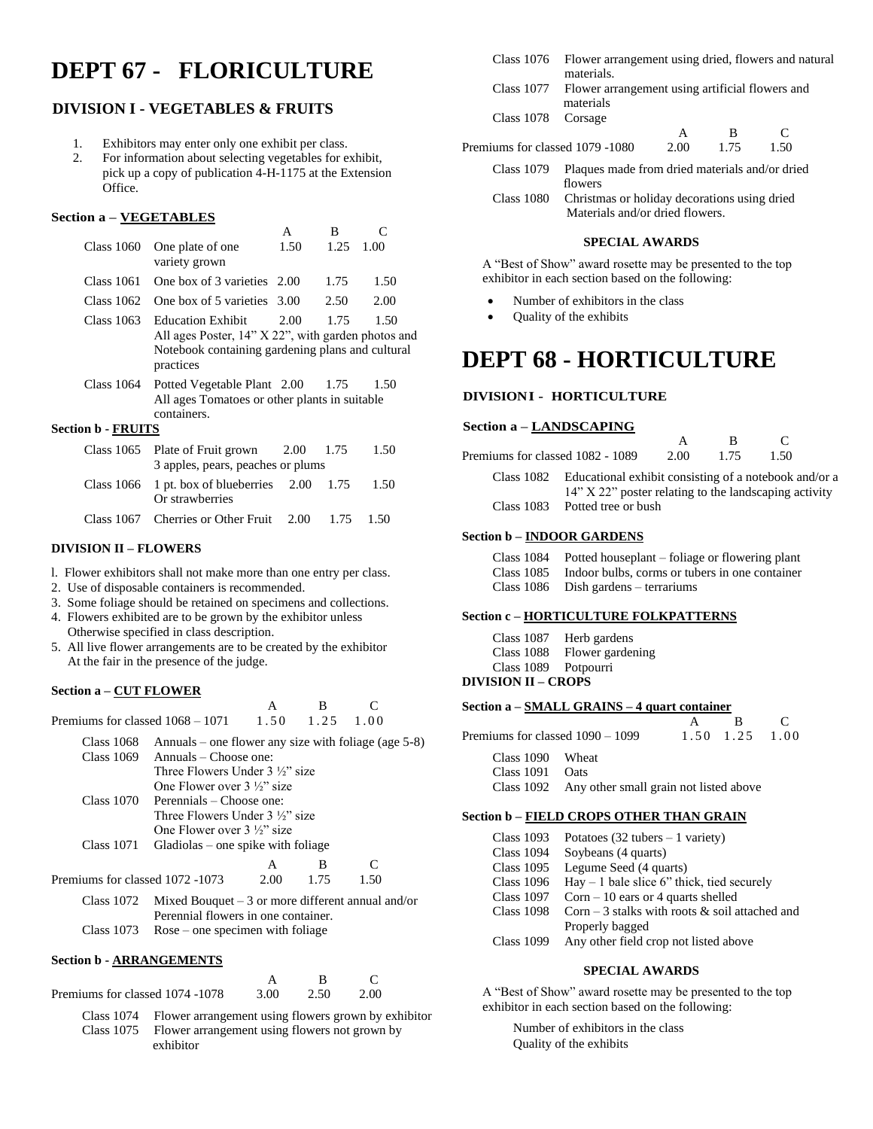# **DEPT 67 - FLORICULTURE**

# **DIVISION I - VEGETABLES & FRUITS**

- 1. Exhibitors may enter only one exhibit per class.
- 2. For information about selecting vegetables for exhibit, pick up a copy of publication 4-H-1175 at the Extension Office.

### **Section a – VEGETABLES**

|                                              | A    | в             |      |
|----------------------------------------------|------|---------------|------|
| Class 1060 One plate of one<br>variety grown | 1.50 | $1.25$ $1.00$ |      |
| Class 1061 One box of 3 varieties 2.00       |      | 1.75          | 1.50 |
| Class 1062 One box of 5 varieties 3.00       |      | 2.50          | 2.00 |
|                                              |      |               |      |

Class 1063 Education Exhibit 2.00 1.75 1.50 All ages Poster, 14" X 22", with garden photos and Notebook containing gardening plans and cultural practices

Class 1064 Potted Vegetable Plant 2.00 1.75 1.50 All ages Tomatoes or other plants in suitable containers.

### **Section b - FRUITS**

|  | Class 1065 Plate of Fruit grown $2.00$ 1.75                             |  |  | 1.50 |  |  |
|--|-------------------------------------------------------------------------|--|--|------|--|--|
|  | 3 apples, pears, peaches or plums                                       |  |  |      |  |  |
|  | Class 1066 1 pt. box of blueberries $2.00$ 1.75 1.50<br>Or strawberries |  |  |      |  |  |
|  | Class 1067 Cherries or Other Fruit $2.00$ 1.75 1.50                     |  |  |      |  |  |

### **DIVISION II – FLOWERS**

- l. Flower exhibitors shall not make more than one entry per class.
- 2. Use of disposable containers is recommended.
- 3. Some foliage should be retained on specimens and collections.
- 4. Flowers exhibited are to be grown by the exhibitor unless Otherwise specified in class description.
- 5. All live flower arrangements are to be created by the exhibitor At the fair in the presence of the judge.

### **Section a – CUT FLOWER**

|                                              |                                                                                                      | A    | B    |      |  |
|----------------------------------------------|------------------------------------------------------------------------------------------------------|------|------|------|--|
| Premiums for classed $1068 - 1071$ 1.50 1.25 |                                                                                                      |      |      | 1.00 |  |
| Class 1068                                   | Annuals – one flower any size with foliage (age $5-8$ )                                              |      |      |      |  |
| Class 1069                                   | $Annuals - Choose one:$                                                                              |      |      |      |  |
|                                              | Three Flowers Under 3 1/3" size                                                                      |      |      |      |  |
|                                              | One Flower over $3\frac{1}{2}$ " size                                                                |      |      |      |  |
| Class 1070                                   | Perennials – Choose one:                                                                             |      |      |      |  |
|                                              | Three Flowers Under 3 1/3" size                                                                      |      |      |      |  |
|                                              | One Flower over $3\frac{1}{2}$ size                                                                  |      |      |      |  |
| Class 1071                                   | Gladiolas – one spike with foliage                                                                   |      |      |      |  |
|                                              |                                                                                                      | A    | B    | C    |  |
| Premiums for classed 1072 -1073              |                                                                                                      | 2.00 | 1.75 | 1.50 |  |
|                                              | Class 1072 Mixed Bouquet $-3$ or more different annual and/or<br>Perennial flowers in one container. |      |      |      |  |

Class 1073 Rose – one specimen with foliage

### **Section b - ARRANGEMENTS**

|                                                | A R C |  |
|------------------------------------------------|-------|--|
| Premiums for classed 1074 -1078 3.00 2.50 2.00 |       |  |

Class 1074 Flower arrangement using flowers grown by exhibitor Class 1075 Flower arrangement using flowers not grown by exhibitor

|                                 | Class 1076 Flower arrangement using dried, flowers and natural<br>materials. |      |      |      |  |
|---------------------------------|------------------------------------------------------------------------------|------|------|------|--|
|                                 | Class 1077 Flower arrangement using artificial flowers and<br>materials      |      |      |      |  |
| Class 1078                      | Corsage                                                                      |      |      |      |  |
|                                 |                                                                              | A    | в    |      |  |
| Premiums for classed 1079 -1080 |                                                                              | 2.00 | 1.75 | 1.50 |  |
| Class 1079                      | Plaques made from dried materials and/or dried<br>flowers                    |      |      |      |  |
| Class 1080                      | Christmas or holiday decorations using dried                                 |      |      |      |  |

Class 1080 Christmas or holiday decorations using dried Materials and/or dried flowers.

### **SPECIAL AWARDS**

A "Best of Show" award rosette may be presented to the top exhibitor in each section based on the following:

- Number of exhibitors in the class
- Quality of the exhibits

# **DEPT 68 - HORTICULTURE**

### **DIVISIONI - HORTICULTURE**

### **Section a – LANDSCAPING**

|                                  |                                                                  |                | <b>R</b> |  |
|----------------------------------|------------------------------------------------------------------|----------------|----------|--|
| Premiums for classed 1082 - 1089 |                                                                  | 2.00 1.75 1.50 |          |  |
|                                  | Class 1082 Educational exhibit consisting of a notebook and/or a |                |          |  |

14" X 22" poster relating to the landscaping activity Class 1083 Potted tree or bush

### **Section b – INDOOR GARDENS**

| Class 1084 Potted houseplant – foliage or flowering plant |
|-----------------------------------------------------------|
| Class 1085 Indoor bulbs, corms or tubers in one container |
| Class $1086$ Dish gardens – terrariums                    |

#### **Section c – HORTICULTURE FOLKPATTERNS**

| Class 1087                 | Herb gardens     |  |  |  |
|----------------------------|------------------|--|--|--|
| <b>Class 1088</b>          | Flower gardening |  |  |  |
| Class 1089 Potpourri       |                  |  |  |  |
| <b>DIVISION II – CROPS</b> |                  |  |  |  |

### **Section a – SMALL GRAINS – 4 quart container**

|                                  |                                                   | R. |  |
|----------------------------------|---------------------------------------------------|----|--|
| Premiums for classed 1090 – 1099 | $1.50$ $1.25$ $1.00$                              |    |  |
| Class 1090 Wheat                 |                                                   |    |  |
| Class 1091 Oats                  |                                                   |    |  |
|                                  | Class 1092 Any other small grain not listed above |    |  |
|                                  |                                                   |    |  |

#### **Section b – FIELD CROPS OTHER THAN GRAIN**

| Class 1093        | Potatoes $(32 \text{ tubes} - 1 \text{ variety})$ |
|-------------------|---------------------------------------------------|
| <b>Class 1094</b> | Soybeans (4 quarts)                               |
| <b>Class 1095</b> | Legume Seed (4 quarts)                            |
| <b>Class 1096</b> | $Hay - 1$ bale slice 6" thick, tied securely      |
| <b>Class 1097</b> | $Corn - 10$ ears or 4 quarts shelled              |
| <b>Class 1098</b> | Corn – 3 stalks with roots $\&$ soil attached and |
|                   | Properly bagged                                   |
| <b>Class 1099</b> | Any other field crop not listed above             |
|                   |                                                   |

### **SPECIAL AWARDS**

A "Best of Show" award rosette may be presented to the top exhibitor in each section based on the following:

Number of exhibitors in the class Quality of the exhibits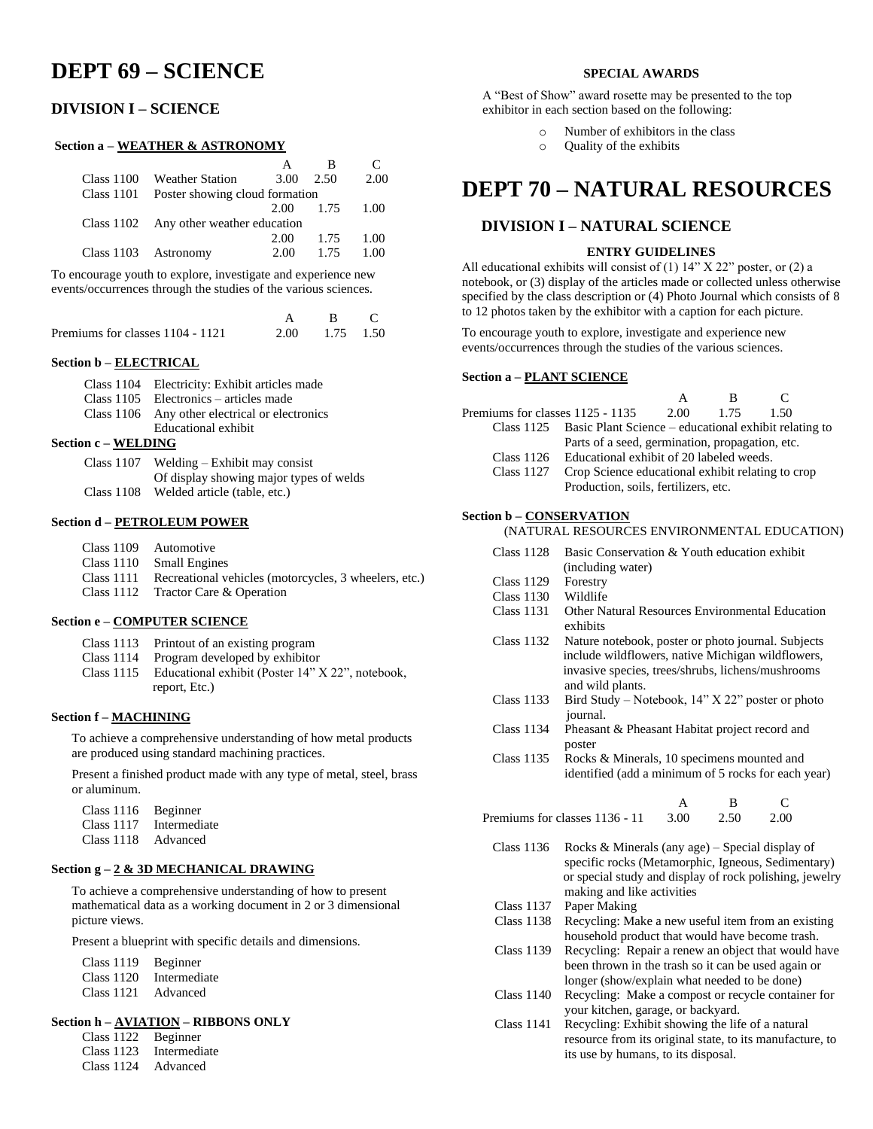# **DEPT 69 – SCIENCE**

# **DIVISION I – SCIENCE**

### **Section a – WEATHER & ASTRONOMY**

| Class 1100 | <b>Weather Station</b>                    | 3.00      | 2.50 | 2.00 |
|------------|-------------------------------------------|-----------|------|------|
|            | Class 1101 Poster showing cloud formation |           |      |      |
|            |                                           | 2.00 1.75 |      | 1.00 |
|            | Class 1102 Any other weather education    |           |      |      |
|            |                                           | 2.00      | 1.75 | 1.00 |
|            | Class 1103 Astronomy                      | 2.00      | 1.75 | 1 OO |
|            |                                           |           |      |      |

To encourage youth to explore, investigate and experience new events/occurrences through the studies of the various sciences.

| Premiums for classes 1104 - 1121 | 2.00 1.75 1.50 |  |
|----------------------------------|----------------|--|

### **Section b – ELECTRICAL**

- Class 1105 Electronics articles made
- Class 1106 Any other electrical or electronics
- Educational exhibit

### **Section c – WELDING**

| Class 1107 | Welding $-$ Exhibit may consist         |
|------------|-----------------------------------------|
|            | Of display showing major types of welds |
| Class 1108 | Welded article (table, etc.)            |

### **Section d – PETROLEUM POWER**

| Class 1109 | Automotive |
|------------|------------|
|------------|------------|

- Class 1110 Small Engines
- Class 1111 Recreational vehicles (motorcycles, 3 wheelers, etc.)
- Class 1112 Tractor Care & Operation

### **Section e – COMPUTER SCIENCE**

- Class 1113 Printout of an existing program
- Class 1114 Program developed by exhibitor
- Class 1115 Educational exhibit (Poster 14" X 22", notebook, report, Etc.)

### **Section f – MACHINING**

To achieve a comprehensive understanding of how metal products are produced using standard machining practices.

Present a finished product made with any type of metal, steel, brass or aluminum.

| Class 1116        | Beginner     |
|-------------------|--------------|
| <b>Class 1117</b> | Intermediate |

Class 1118 Advanced

### **Section g – 2 & 3D MECHANICAL DRAWING**

To achieve a comprehensive understanding of how to present mathematical data as a working document in 2 or 3 dimensional picture views.

Present a blueprint with specific details and dimensions.

| <b>Class 1119</b> | Beginner     |
|-------------------|--------------|
| Class 1120        | Intermediate |
| Class 1121        | Advanced     |

### **Section h – AVIATION – RIBBONS ONLY**

| <b>Class 1122</b>            | Beginner     |
|------------------------------|--------------|
| <b>Class 1123</b>            | Intermediate |
| $C1_{\text{max}}$ 1194 A. J. |              |

Class 1124 Advanced

### **SPECIAL AWARDS**

A "Best of Show" award rosette may be presented to the top exhibitor in each section based on the following:

- Number of exhibitors in the class
- o Quality of the exhibits

# **DEPT 70 – NATURAL RESOURCES**

### **DIVISION I – NATURAL SCIENCE**

### **ENTRY GUIDELINES**

All educational exhibits will consist of  $(1)$  14" X 22" poster, or  $(2)$  a notebook, or (3) display of the articles made or collected unless otherwise specified by the class description or (4) Photo Journal which consists of 8 to 12 photos taken by the exhibitor with a caption for each picture.

To encourage youth to explore, investigate and experience new events/occurrences through the studies of the various sciences.

### **Section a – PLANT SCIENCE**

| Premiums for classes 1125 - 1135 |                                                                  | - 2.00 | 1.75 | 1.50 |  |
|----------------------------------|------------------------------------------------------------------|--------|------|------|--|
|                                  | Class 1125 Basic Plant Science – educational exhibit relating to |        |      |      |  |
|                                  | Parts of a seed, germination, propagation, etc.                  |        |      |      |  |
|                                  | Class 1126 Educational exhibit of 20 labeled weeds.              |        |      |      |  |
| Class 1127                       | Crop Science educational exhibit relating to crop                |        |      |      |  |
|                                  | Production, soils, fertilizers, etc.                             |        |      |      |  |
| Section <b>b</b> = CONSERVATION  |                                                                  |        |      |      |  |

### **Section b – CONSERVATION**

- Class 1128 Basic Conservation & Youth education exhibit (including water)
- Class 1129 Forestry
- Class 1130 Wildlife<br>Class 1131 Other Na
- Other Natural Resources Environmental Education exhibits
- Class 1132 Nature notebook, poster or photo journal. Subjects include wildflowers, native Michigan wildflowers, invasive species, trees/shrubs, lichens/mushrooms and wild plants.
- Class 1133 Bird Study Notebook, 14" X 22" poster or photo journal.
- Class 1134 Pheasant & Pheasant Habitat project record and poster
- Class 1135 Rocks & Minerals, 10 specimens mounted and identified (add a minimum of 5 rocks for each year)

 A B C Premiums for classes 1136 - 11 3.00 2.50 2.00

- Class 1136 Rocks & Minerals (any age) Special display of
- specific rocks (Metamorphic, Igneous, Sedimentary) or special study and display of rock polishing, jewelry making and like activities
- Class 1137 Paper Making
- Class 1138 Recycling: Make a new useful item from an existing household product that would have become trash.
- Class 1139 Recycling: Repair a renew an object that would have been thrown in the trash so it can be used again or longer (show/explain what needed to be done)
- Class 1140 Recycling: Make a compost or recycle container for your kitchen, garage, or backyard.
- Class 1141 Recycling: Exhibit showing the life of a natural resource from its original state, to its manufacture, to its use by humans, to its disposal.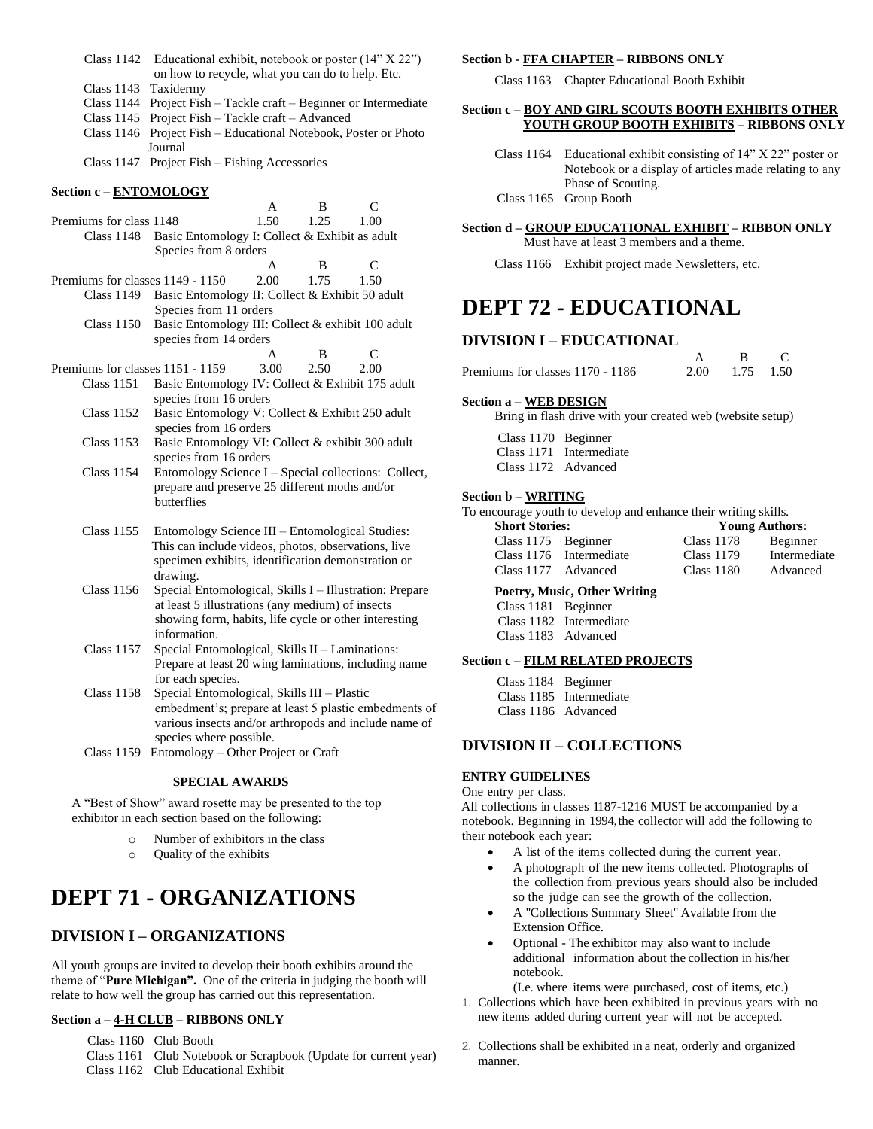- Class 1142 Educational exhibit, notebook or poster (14" X 22") on how to recycle, what you can do to help. Etc.
- Class 1143 Taxidermy
- Class 1144 Project Fish Tackle craft Beginner or Intermediate
- Class 1145 Project Fish Tackle craft Advanced
- Class 1146 Project Fish Educational Notebook, Poster or Photo Journal
- Class 1147 Project Fish Fishing Accessories

### **Section c – ENTOMOLOGY**

|                                  |                                                                             | A    | B    | C    |  |
|----------------------------------|-----------------------------------------------------------------------------|------|------|------|--|
| Premiums for class 1148          |                                                                             | 1.50 | 1.25 | 1.00 |  |
| Class 1148                       | Basic Entomology I: Collect & Exhibit as adult                              |      |      |      |  |
|                                  | Species from 8 orders                                                       |      |      |      |  |
|                                  |                                                                             | A    | R    | C    |  |
| Premiums for classes 1149 - 1150 |                                                                             | 2.00 | 1.75 | 1.50 |  |
| Class 1149                       | Basic Entomology II: Collect & Exhibit 50 adult                             |      |      |      |  |
|                                  | Species from 11 orders                                                      |      |      |      |  |
| <b>Class 1150</b>                | Basic Entomology III: Collect & exhibit 100 adult<br>species from 14 orders |      |      |      |  |
|                                  |                                                                             | A    | B    | C    |  |
| Premiums for classes 1151 - 1159 |                                                                             | 3.00 | 2.50 | 2.00 |  |
| Class 1151                       | Basic Entomology IV: Collect & Exhibit 175 adult                            |      |      |      |  |
|                                  | species from 16 orders                                                      |      |      |      |  |
| <b>Class 1152</b>                | Basic Entomology V: Collect & Exhibit 250 adult                             |      |      |      |  |
|                                  | species from 16 orders                                                      |      |      |      |  |
| <b>Class 1153</b>                | Basic Entomology VI: Collect & exhibit 300 adult                            |      |      |      |  |
|                                  | species from 16 orders                                                      |      |      |      |  |
| <b>Class 1154</b>                | Entomology Science I – Special collections: Collect,                        |      |      |      |  |
|                                  | prepare and preserve 25 different moths and/or                              |      |      |      |  |
|                                  | butterflies                                                                 |      |      |      |  |
|                                  |                                                                             |      |      |      |  |
| <b>Class 1155</b>                | Entomology Science III - Entomological Studies:                             |      |      |      |  |
|                                  | This can include videos, photos, observations, live                         |      |      |      |  |
|                                  | specimen exhibits, identification demonstration or                          |      |      |      |  |
|                                  | drawing.                                                                    |      |      |      |  |
| <b>Class 1156</b>                | Special Entomological, Skills I – Illustration: Prepare                     |      |      |      |  |
|                                  | at least 5 illustrations (any medium) of insects                            |      |      |      |  |
|                                  | showing form, habits, life cycle or other interesting                       |      |      |      |  |
|                                  | information.                                                                |      |      |      |  |
| <b>Class 1157</b>                | Special Entomological, Skills II - Laminations:                             |      |      |      |  |
|                                  | Prepare at least 20 wing laminations, including name                        |      |      |      |  |
| $Cl$ gec 1158                    | for each species.<br>Special Entomological Skills III Dlastic               |      |      |      |  |
|                                  |                                                                             |      |      |      |  |

Special Entomological, Skills III – Plastic embedment's; prepare at least 5 plastic embedments of various insects and/or arthropods and include name of species where possible.

Class 1159 Entomology – Other Project or Craft

### **SPECIAL AWARDS**

A "Best of Show" award rosette may be presented to the top exhibitor in each section based on the following:

- o Number of exhibitors in the class
- o Quality of the exhibits

# **DEPT 71 - ORGANIZATIONS**

# **DIVISION I – ORGANIZATIONS**

All youth groups are invited to develop their booth exhibits around the theme of "**Pure Michigan".** One of the criteria in judging the booth will relate to how well the group has carried out this representation.

### **Section a – 4-H CLUB – RIBBONS ONLY**

Class 1160 Club Booth

- Class 1161 Club Notebook or Scrapbook (Update for current year)
- Class 1162 Club Educational Exhibit

### **Section b - FFA CHAPTER – RIBBONS ONLY**

Class 1163 Chapter Educational Booth Exhibit

### **Section c – BOY AND GIRL SCOUTS BOOTH EXHIBITS OTHER YOUTH GROUP BOOTH EXHIBITS – RIBBONS ONLY**

- Class 1164 Educational exhibit consisting of 14" X 22" poster or Notebook or a display of articles made relating to any Phase of Scouting.
- Class 1165 Group Booth

### **Section d – GROUP EDUCATIONAL EXHIBIT – RIBBON ONLY**

Must have at least 3 members and a theme.

Class 1166 Exhibit project made Newsletters, etc.

# **DEPT 72 - EDUCATIONAL**

# **DIVISION I – EDUCATIONAL**

| Premiums for classes 1170 - 1186 | 2.00 1.75 1.50 |  |
|----------------------------------|----------------|--|

### **Section a – WEB DESIGN**

Bring in flash drive with your created web (website setup)

| Class 1170 Beginner |                         |
|---------------------|-------------------------|
|                     | Class 1171 Intermediate |
| Class 1172 Advanced |                         |

### **Section b – WRITING**

To encourage youth to develop and enhance their writing skills.

| <b>Short Stories:</b> |                         | <b>Young Authors:</b> |              |  |
|-----------------------|-------------------------|-----------------------|--------------|--|
| Class 1175 Beginner   |                         | <b>Class 1178</b>     | Beginner     |  |
|                       | Class 1176 Intermediate | <b>Class 1179</b>     | Intermediate |  |
| Class 1177 Advanced   |                         | <b>Class 1180</b>     | Advanced     |  |

### **Poetry, Music, Other Writing**

| Class 1181 Beginner |                         |
|---------------------|-------------------------|
|                     | Class 1182 Intermediate |
| Class 1183 Advanced |                         |

#### **Section c – FILM RELATED PROJECTS**

| Class 1184 Beginner |                         |
|---------------------|-------------------------|
|                     | Class 1185 Intermediate |
| Class 1186 Advanced |                         |

# **DIVISION II – COLLECTIONS**

### **ENTRY GUIDELINES**

### One entry per class.

All collections in classes 1187-1216 MUST be accompanied by a notebook. Beginning in 1994,the collector will add the following to their notebook each year:

- A list of the items collected during the current year.
- A photograph of the new items collected. Photographs of the collection from previous years should also be included so the judge can see the growth of the collection.
- A "Collections Summary Sheet" Available from the Extension Office.
- Optional The exhibitor may also want to include additional information about the collection in his/her notebook.

(I.e. where items were purchased, cost of items, etc.)

- 1. Collections which have been exhibited in previous years with no new items added during current year will not be accepted.
- 2. Collections shall be exhibited in a neat, orderly and organized manner.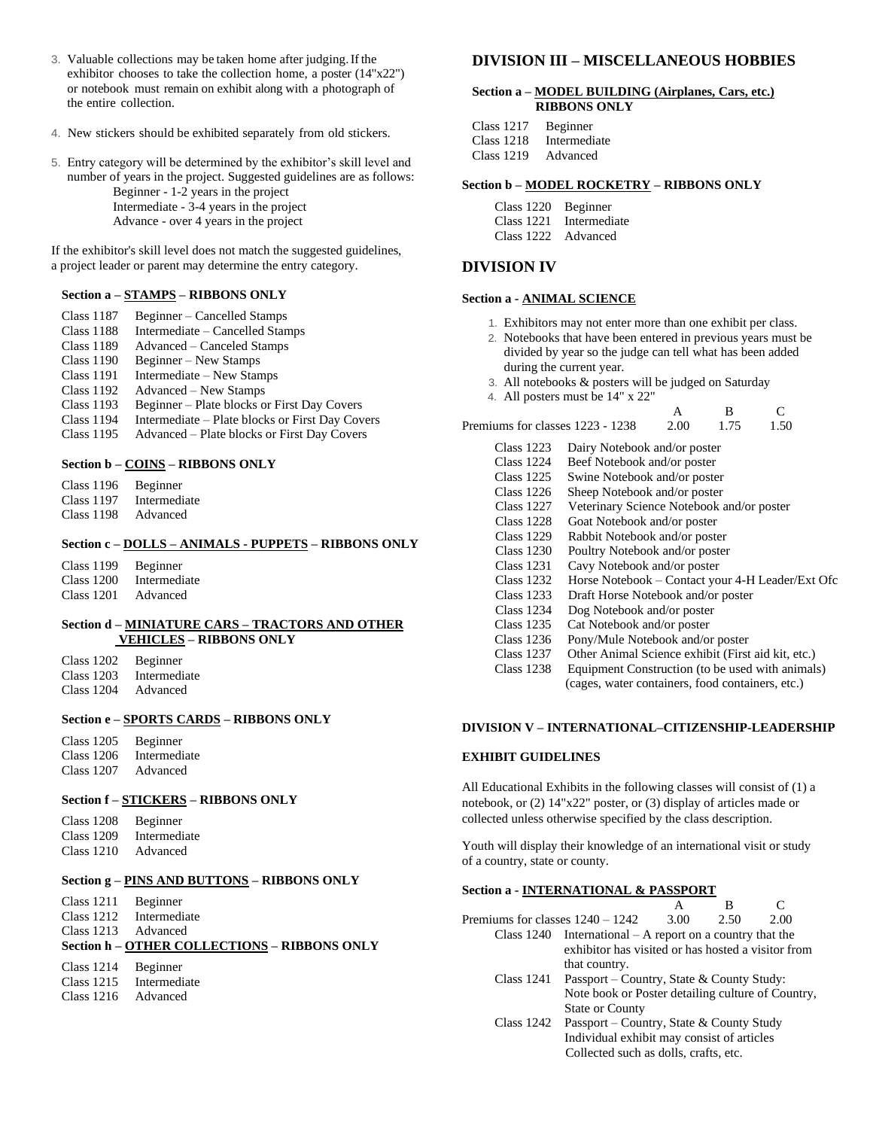- 3. Valuable collections may be taken home after judging.Ifthe exhibitor chooses to take the collection home, a poster (14"x22") or notebook must remain on exhibit along with a photograph of the entire collection.
- 4. New stickers should be exhibited separately from old stickers.
- 5. Entry category will be determined by the exhibitor's skill level and number of years in the project. Suggested guidelines are as follows:

Beginner - 1-2 years in the project Intermediate - 3-4 years in the project Advance - over 4 years in the project

If the exhibitor's skill level does not match the suggested guidelines, a project leader or parent may determine the entry category.

### **Section a – STAMPS – RIBBONS ONLY**

- Class 1187 Beginner Cancelled Stamps
- Class 1188 Intermediate Cancelled Stamps
- Class 1189 Advanced Canceled Stamps
- Class 1190 Beginner New Stamps
- Class 1191 Intermediate New Stamps
- Class 1192 Advanced New Stamps
- Class 1193 Beginner Plate blocks or First Day Covers
- Class 1194 Intermediate Plate blocks or First Day Covers
- Class 1195 Advanced Plate blocks or First Day Covers

### **Section b – COINS – RIBBONS ONLY**

Class 1196 Beginner Class 1197 Intermediate

Class 1198 Advanced

### **Section c – DOLLS – ANIMALS - PUPPETS – RIBBONS ONLY**

Class 1199 Beginner Class 1200 Intermediate Class 1201 Advanced

### **Section d – MINIATURE CARS – TRACTORS AND OTHER VEHICLES – RIBBONS ONLY**

| Class 1202 | Beginner     |
|------------|--------------|
| Class 1203 | Intermediate |
| Class 1204 | Advanced     |

### **Section e – SPORTS CARDS – RIBBONS ONLY**

Class 1205 Beginner Class 1206 Intermediate Class 1207 Advanced

### **Section f – STICKERS – RIBBONS ONLY**

| <b>Class 1208</b> | Beginner     |
|-------------------|--------------|
| Class 1209        | Intermediate |
| <b>Class 1210</b> | Advanced     |

### **Section g – PINS AND BUTTONS – RIBBONS ONLY**

Class 1211 Beginner<br>Class 1212 Intermedi Intermediate

Class 1213 Advanced

**Section h – OTHER COLLECTIONS – RIBBONS ONLY**

| Class $1214$ | Beginner |
|--------------|----------|
|              |          |

- Class 1215 Intermediate
- Class 1216 Advanced

### **DIVISION III – MISCELLANEOUS HOBBIES**

### **Section a – MODEL BUILDING (Airplanes, Cars, etc.) RIBBONS ONLY**

| <b>Class 1217</b> | Beginner     |
|-------------------|--------------|
| <b>Class 1218</b> | Intermediate |
| <b>Class 1219</b> | Advanced     |

### **Section b – MODEL ROCKETRY – RIBBONS ONLY**

| Class 1220 Beginner |                         |
|---------------------|-------------------------|
|                     | Class 1221 Intermediate |
| Class 1222 Advanced |                         |

### **DIVISION IV**

### **Section a - ANIMAL SCIENCE**

- 1. Exhibitors may not enter more than one exhibit per class.
- 2. Notebooks that have been entered in previous years must be divided by year so the judge can tell what has been added during the current year.
- 3. All notebooks & posters will be judged on Saturday
- 4. All posters must be 14" x 22"

| Premiums for classes 1223 - 1238 | 2.00 | 1.75 | 1.50 |
|----------------------------------|------|------|------|

- Class 1223 Dairy Notebook and/or poster
- Class 1224 Beef Notebook and/or poster
- Class 1225 Swine Notebook and/or poster
- Class 1226 Sheep Notebook and/or poster
- Class 1227 Veterinary Science Notebook and/or poster
- Class 1228 Goat Notebook and/or poster<br>Class 1229 Rabbit Notebook and/or poster
- Rabbit Notebook and/or poster
- Class 1230 Poultry Notebook and/or poster
- Class 1231 Cavy Notebook and/or poster<br>Class 1232 Horse Notebook Contact vo
- Class 1232 Horse Notebook Contact your 4-H Leader/Ext Ofc
- Draft Horse Notebook and/or poster
- Class 1234 Dog Notebook and/or poster
- Class 1235 Cat Notebook and/or poster
- Class 1236 Pony/Mule Notebook and/or poster
- Class 1237 Other Animal Science exhibit (First aid kit, etc.)
- Class 1238 Equipment Construction (to be used with animals)
	- (cages, water containers, food containers, etc.)

### **DIVISION V – INTERNATIONAL–CITIZENSHIP-LEADERSHIP**

### **EXHIBIT GUIDELINES**

All Educational Exhibits in the following classes will consist of (1) a notebook, or (2) 14"x22" poster, or (3) display of articles made or collected unless otherwise specified by the class description.

Youth will display their knowledge of an international visit or study of a country, state or county.

### **Section a - INTERNATIONAL & PASSPORT**

 A B C Premiums for classes  $1240 - 1242$  3.00 2.50 2.00 Class 1240 International – A report on a country that the

- exhibitor has visited or has hosted a visitor from that country.
	- Class 1241 Passport Country, State & County Study: Note book or Poster detailing culture of Country, State or County
	- Class 1242 Passport Country, State & County Study Individual exhibit may consist of articles Collected such as dolls, crafts, etc.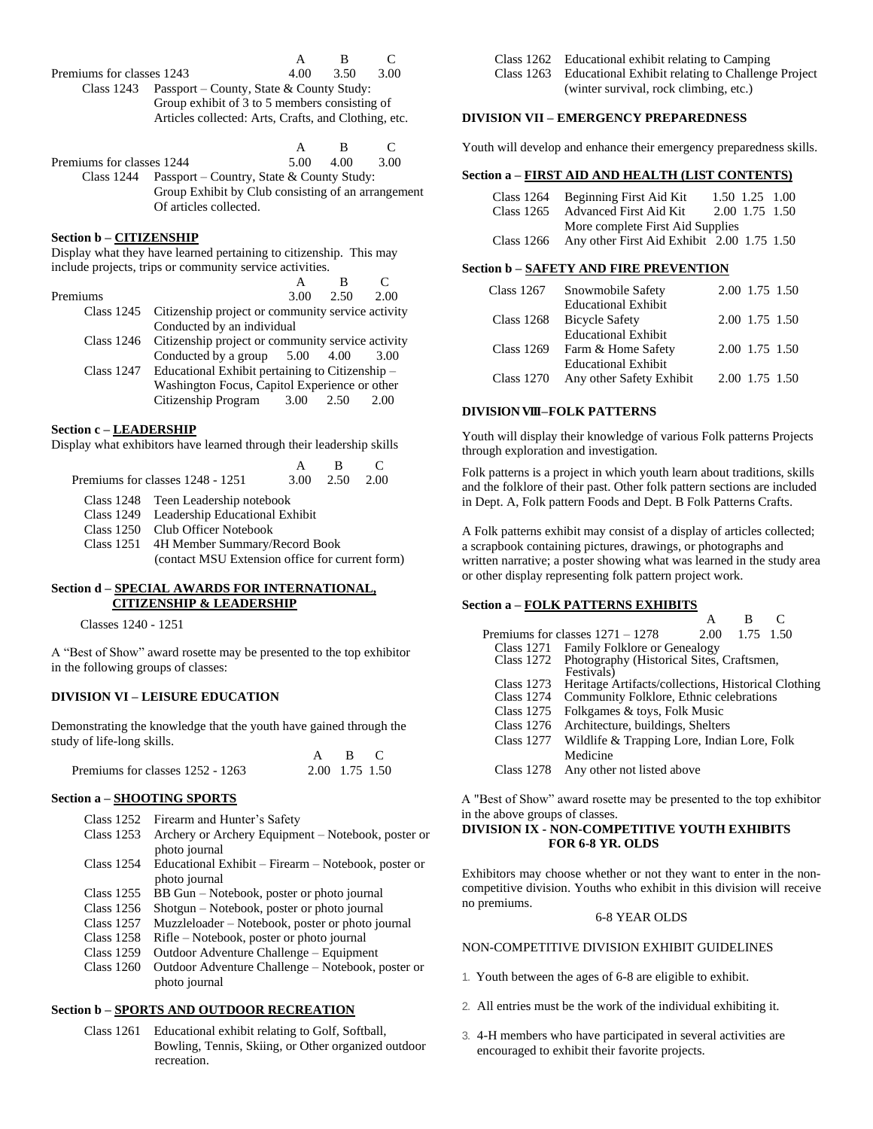A B C

Premiums for classes 1243 4.00 3.50 3.00 Class 1243 Passport – County, State & County Study: Group exhibit of 3 to 5 members consisting of Articles collected: Arts, Crafts, and Clothing, etc.

|                           |                                                                                                                                      | $\mathbf{A}$      | -R |      |
|---------------------------|--------------------------------------------------------------------------------------------------------------------------------------|-------------------|----|------|
| Premiums for classes 1244 |                                                                                                                                      | $5.00 \quad 4.00$ |    | 3.00 |
|                           | Class 1244 Passport – Country, State & County Study:<br>Group Exhibit by Club consisting of an arrangement<br>Of articles collected. |                   |    |      |

### **Section b – CITIZENSHIP**

Display what they have learned pertaining to citizenship. This may include projects, trips or community service activities.

| Premiums |                                                                                                                                                                                                                                                                                                 | $3.00 \quad 2.50$ | 2.00 |
|----------|-------------------------------------------------------------------------------------------------------------------------------------------------------------------------------------------------------------------------------------------------------------------------------------------------|-------------------|------|
|          | Class 1245 Citizenship project or community service activity                                                                                                                                                                                                                                    |                   |      |
|          | Conducted by an individual                                                                                                                                                                                                                                                                      |                   |      |
|          | Class 1246 Citizenship project or community service activity                                                                                                                                                                                                                                    |                   |      |
|          | Conducted by a group $5.00$ 4.00 3.00                                                                                                                                                                                                                                                           |                   |      |
|          | Class $1247$ Educational Exhibit pertaining to Citizenship $-$                                                                                                                                                                                                                                  |                   |      |
|          | $\mathbf{W}$ is $\mathbf{F}$ and $\mathbf{H}$ and $\mathbf{H}$ and $\mathbf{H}$ and $\mathbf{H}$ and $\mathbf{H}$ and $\mathbf{H}$ and $\mathbf{H}$ and $\mathbf{H}$ and $\mathbf{H}$ and $\mathbf{H}$ and $\mathbf{H}$ and $\mathbf{H}$ and $\mathbf{H}$ and $\mathbf{H}$ and $\mathbf{H}$ and |                   |      |

Washington Focus, Capitol Experience or other Citizenship Program 3.00 2.50 2.00

### **Section c – LEADERSHIP**

Display what exhibitors have learned through their leadership skills

|                                           | $\mathbf{A}$ | -R                           | $\Gamma$ |
|-------------------------------------------|--------------|------------------------------|----------|
| Premiums for classes 1248 - 1251          |              | $3.00 \quad 2.50 \quad 2.00$ |          |
| Class 1248 Teen Leadership notebook       |              |                              |          |
| Class 1249 Leadership Educational Exhibit |              |                              |          |
| Class 1250 Club Officer Notebook          |              |                              |          |
|                                           |              |                              |          |

Class 1251 4H Member Summary/Record Book (contact MSU Extension office for current form)

### **Section d – SPECIAL AWARDS FOR INTERNATIONAL, CITIZENSHIP & LEADERSHIP**

Classes 1240 - 1251

A "Best of Show" award rosette may be presented to the top exhibitor in the following groups of classes:

### **DIVISION VI – LEISURE EDUCATION**

Demonstrating the knowledge that the youth have gained through the study of life-long skills.

|                                  |                | A B C |  |
|----------------------------------|----------------|-------|--|
| Premiums for classes 1252 - 1263 | 2.00 1.75 1.50 |       |  |

### **Section a – SHOOTING SPORTS**

- Class 1252 Firearm and Hunter's Safety
	- Class 1253 Archery or Archery Equipment Notebook, poster or photo journal
	- Class 1254 Educational Exhibit Firearm Notebook, poster or photo journal
- Class 1255 BB Gun Notebook, poster or photo journal
- Shotgun Notebook, poster or photo journal
- Class 1257 Muzzleloader Notebook, poster or photo journal
- Class 1258 Rifle Notebook, poster or photo journal
- Class 1259 Outdoor Adventure Challenge Equipment
- Class 1260 Outdoor Adventure Challenge Notebook, poster or photo journal

### **Section b – SPORTS AND OUTDOOR RECREATION**

Class 1261 Educational exhibit relating to Golf, Softball, Bowling, Tennis, Skiing, or Other organized outdoor recreation.

| Class 1262 Educational exhibit relating to Camping           |
|--------------------------------------------------------------|
| Class 1263 Educational Exhibit relating to Challenge Project |
| (winter survival, rock climbing, etc.)                       |

### **DIVISION VII – EMERGENCY PREPAREDNESS**

Youth will develop and enhance their emergency preparedness skills.

#### **Section a – FIRST AID AND HEALTH (LIST CONTENTS)**

| Class 1264 | Beginning First Aid Kit                    | 1.50 1.25 1.00 |                |  |
|------------|--------------------------------------------|----------------|----------------|--|
| Class 1265 | Advanced First Aid Kit                     |                | 2.00 1.75 1.50 |  |
|            | More complete First Aid Supplies           |                |                |  |
| Class 1266 | Any other First Aid Exhibit 2.00 1.75 1.50 |                |                |  |

#### **Section b – SAFETY AND FIRE PREVENTION**

| Class 1267        | Snowmobile Safety          | 2.00 1.75 1.50 |  |
|-------------------|----------------------------|----------------|--|
|                   | <b>Educational Exhibit</b> |                |  |
| <b>Class 1268</b> | <b>Bicycle Safety</b>      | 2.00 1.75 1.50 |  |
|                   | <b>Educational Exhibit</b> |                |  |
| Class 1269        | Farm & Home Safety         | 2.00 1.75 1.50 |  |
|                   | <b>Educational Exhibit</b> |                |  |
| Class 1270        | Any other Safety Exhibit   | 2.00 1.75 1.50 |  |

### **DIVISIONVIII –FOLK PATTERNS**

Youth will display their knowledge of various Folk patterns Projects through exploration and investigation.

Folk patterns is a project in which youth learn about traditions, skills and the folklore of their past. Other folk pattern sections are included in Dept. A, Folk pattern Foods and Dept. B Folk Patterns Crafts.

A Folk patterns exhibit may consist of a display of articles collected; a scrapbook containing pictures, drawings, or photographs and written narrative; a poster showing what was learned in the study area or other display representing folk pattern project work.

### **Section a – FOLK PATTERNS EXHIBITS**

|                   |                                                      |      | R         |  |  |
|-------------------|------------------------------------------------------|------|-----------|--|--|
|                   | Premiums for classes 1271 – 1278                     | 2.00 | 1.75 1.50 |  |  |
|                   | Class 1271 Family Folklore or Genealogy              |      |           |  |  |
|                   | Class 1272 Photography (Historical Sites, Craftsmen, |      |           |  |  |
|                   | Festivals)                                           |      |           |  |  |
| Class 1273        | Heritage Artifacts/collections, Historical Clothing  |      |           |  |  |
| <b>Class 1274</b> | Community Folklore, Ethnic celebrations              |      |           |  |  |
| Class 1275        | Folkgames & toys, Folk Music                         |      |           |  |  |
| Class 1276        | Architecture, buildings, Shelters                    |      |           |  |  |
| Class 1277        | Wildlife & Trapping Lore, Indian Lore, Folk          |      |           |  |  |
|                   | Medicine                                             |      |           |  |  |
| Class 1278        | Any other not listed above                           |      |           |  |  |

A "Best of Show" award rosette may be presented to the top exhibitor in the above groups of classes.

### **DIVISION IX - NON-COMPETITIVE YOUTH EXHIBITS FOR 6-8 YR. OLDS**

Exhibitors may choose whether or not they want to enter in the noncompetitive division. Youths who exhibit in this division will receive no premiums.

### 6-8 YEAR OLDS

### NON-COMPETITIVE DIVISION EXHIBIT GUIDELINES

- 1. Youth between the ages of 6-8 are eligible to exhibit.
- 2. All entries must be the work of the individual exhibiting it.
- 3. 4-H members who have participated in several activities are encouraged to exhibit their favorite projects.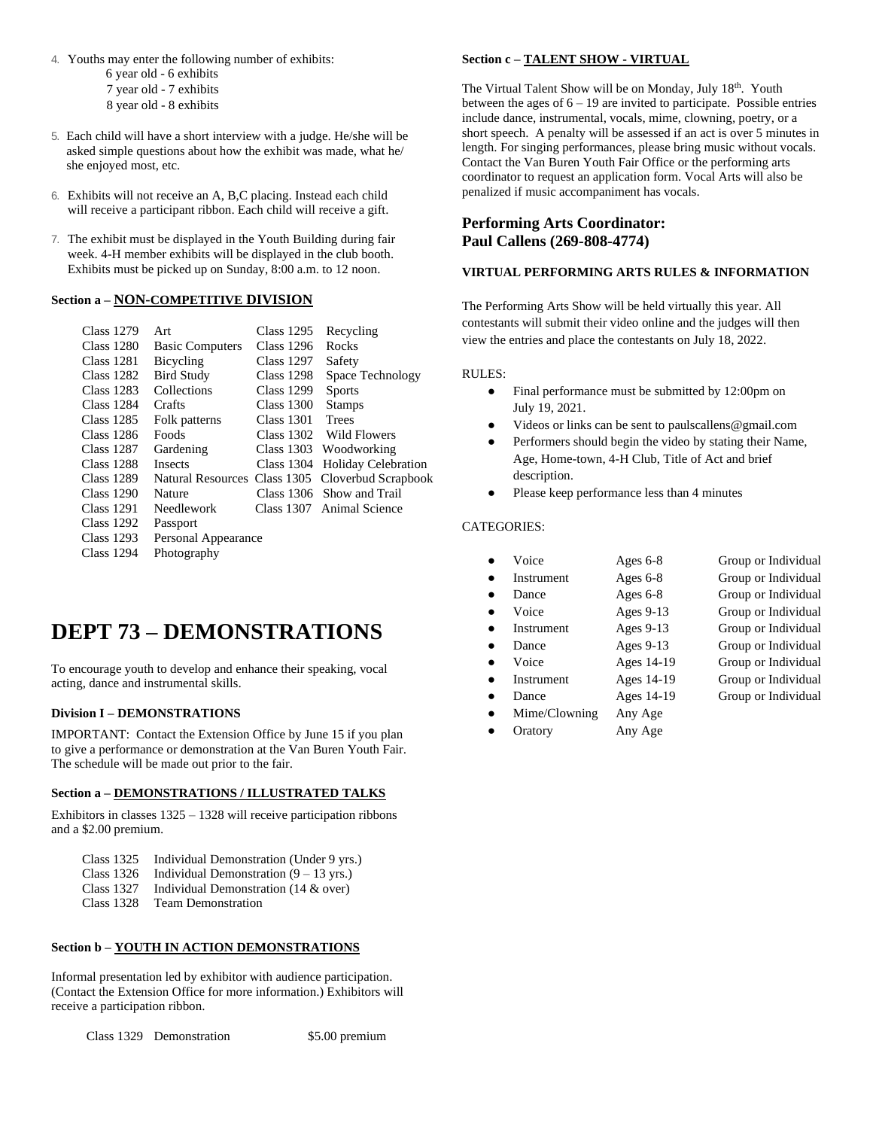- 4. Youths may enter the following number of exhibits: 6 year old - 6 exhibits 7 year old - 7 exhibits 8 year old - 8 exhibits
- 5. Each child will have a short interview with a judge. He/she will be asked simple questions about how the exhibit was made, what he/ she enjoyed most, etc.
- 6. Exhibits will not receive an A, B,C placing. Instead each child will receive a participant ribbon. Each child will receive a gift.
- 7. The exhibit must be displayed in the Youth Building during fair week. 4-H member exhibits will be displayed in the club booth. Exhibits must be picked up on Sunday, 8:00 a.m. to 12 noon.

### **Section a – NON-COMPETITIVE DIVISION**

| Class 1279        | Art                    | Class 1295        | Recycling                                        |
|-------------------|------------------------|-------------------|--------------------------------------------------|
| Class 1280        | <b>Basic Computers</b> | Class 1296        | Rocks                                            |
| <b>Class 1281</b> | Bicycling              | Class 1297        | Safety                                           |
| Class 1282        | <b>Bird Study</b>      | <b>Class 1298</b> | Space Technology                                 |
| Class 1283        | Collections            | <b>Class 1299</b> | <b>Sports</b>                                    |
| Class 1284        | Crafts                 | Class 1300        | <b>Stamps</b>                                    |
| Class 1285        | Folk patterns          | Class 1301        | Trees                                            |
| Class 1286        | Foods                  | Class 1302        | Wild Flowers                                     |
| Class 1287        | Gardening              | Class 1303        | Woodworking                                      |
| Class 1288        | <b>Insects</b>         | Class 1304        | <b>Holiday Celebration</b>                       |
| Class 1289        |                        |                   | Natural Resources Class 1305 Cloverbud Scrapbook |
| Class 1290        | Nature                 |                   | Class 1306 Show and Trail                        |
| Class 1291        | <b>Needlework</b>      |                   | Class 1307 Animal Science                        |
| Class 1292        | Passport               |                   |                                                  |
| Class 1293        | Personal Appearance    |                   |                                                  |
| Class 1294        | Photography            |                   |                                                  |
|                   |                        |                   |                                                  |

# **DEPT 73 – DEMONSTRATIONS**

To encourage youth to develop and enhance their speaking, vocal acting, dance and instrumental skills.

### **Division I – DEMONSTRATIONS**

IMPORTANT: Contact the Extension Office by June 15 if you plan to give a performance or demonstration at the Van Buren Youth Fair. The schedule will be made out prior to the fair.

### **Section a – DEMONSTRATIONS / ILLUSTRATED TALKS**

Exhibitors in classes 1325 – 1328 will receive participation ribbons and a \$2.00 premium.

- Class 1325 Individual Demonstration (Under 9 yrs.)
- Class 1326 Individual Demonstration (9 13 yrs.)
- Class 1327 Individual Demonstration (14 & over)
- Class 1328 Team Demonstration

### **Section b – YOUTH IN ACTION DEMONSTRATIONS**

Informal presentation led by exhibitor with audience participation. (Contact the Extension Office for more information.) Exhibitors will receive a participation ribbon.

Class 1329 Demonstration \$5.00 premium

### **Section c – TALENT SHOW - VIRTUAL**

The Virtual Talent Show will be on Monday, July 18<sup>th</sup>. Youth between the ages of  $6 - 19$  are invited to participate. Possible entries include dance, instrumental, vocals, mime, clowning, poetry, or a short speech. A penalty will be assessed if an act is over 5 minutes in length. For singing performances, please bring music without vocals. Contact the Van Buren Youth Fair Office or the performing arts coordinator to request an application form. Vocal Arts will also be penalized if music accompaniment has vocals.

# **Performing Arts Coordinator: Paul Callens (269-808-4774)**

### **VIRTUAL PERFORMING ARTS RULES & INFORMATION**

The Performing Arts Show will be held virtually this year. All contestants will submit their video online and the judges will then view the entries and place the contestants on July 18, 2022.

#### RULES:

- Final performance must be submitted by 12:00pm on July 19, 2021.
- Videos or links can be sent to paulscallens@gmail.com
- Performers should begin the video by stating their Name, Age, Home-town, 4-H Club, Title of Act and brief description.
- Please keep performance less than 4 minutes

### CATEGORIES:

| Voice         | Ages $6-8$ | Group or Individual |
|---------------|------------|---------------------|
| Instrument    | Ages $6-8$ | Group or Individual |
| Dance         | Ages $6-8$ | Group or Individual |
| Voice         | Ages 9-13  | Group or Individual |
| Instrument    | Ages 9-13  | Group or Individual |
| Dance         | Ages 9-13  | Group or Individual |
| Voice         | Ages 14-19 | Group or Individual |
| Instrument    | Ages 14-19 | Group or Individual |
| Dance         | Ages 14-19 | Group or Individual |
| Mime/Clowning | Any Age    |                     |
| Oratory       | Any Age    |                     |
|               |            |                     |